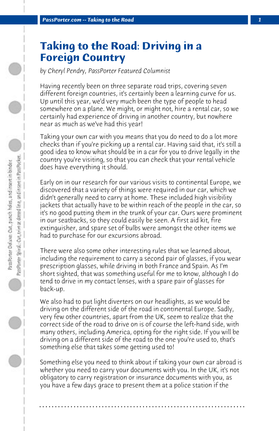## **Taking to the Road: Driving in a Foreign Country**

*by Cheryl Pendry, PassPorter Featured Columnist*

Having recently been on three separate road trips, covering seven different foreign countries, it's certainly been a learning curve for us. Up until this year, we'd very much been the type of people to head somewhere on a plane. We might, or might not, hire a rental car, so we certainly had experience of driving in another country, but nowhere near as much as we've had this year!

Taking your own car with you means that you do need to do a lot more checks than if you're picking up a rental car. Having said that, it's still a good idea to know what should be in a car for you to drive legally in the country you're visiting, so that you can check that your rental vehicle does have everything it should.

Early on in our research for our various visits to continental Europe, we discovered that a variety of things were required in our car, which we didn't generally need to carry at home. These included high visibility jackets that actually have to be within reach of the people in the car, so it's no good putting them in the trunk of your car. Ours were prominent in our seatbacks, so they could easily be seen. A first aid kit, fire extinguisher, and spare set of bulbs were amongst the other items we had to purchase for our excursions abroad.

There were also some other interesting rules that we learned about, including the requirement to carry a second pair of glasses, if you wear prescription glasses, while driving in both France and Spain. As I'm short sighted, that was something useful for me to know, although I do tend to drive in my contact lenses, with a spare pair of glasses for back-up.

We also had to put light diverters on our headlights, as we would be driving on the different side of the road in continental Europe. Sadly, very few other countries, apart from the UK, seem to realize that the correct side of the road to drive on is of course the left-hand side, with many others, including America, opting for the right side. If you will be driving on a different side of the road to the one you're used to, that's something else that takes some getting used to!

Something else you need to think about if taking your own car abroad is whether you need to carry your documents with you. In the UK, it's not obligatory to carry registration or insurance documents with you, as you have a few days grace to present them at a police station if the

**. . . . . . . . . . . . . . . . . . . . . . . . . . . . . . . . . . . . . . . . . . . . . . . . . . . . . . . . . . . . . . . . . .**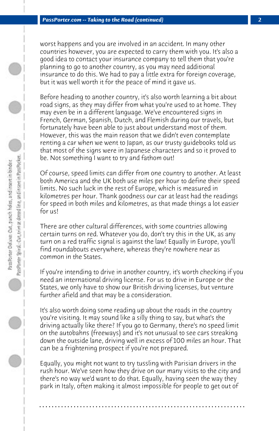worst happens and you are involved in an accident. In many other countries however, you are expected to carry them with you. It's also a good idea to contact your insurance company to tell them that you're planning to go to another country, as you may need additional insurance to do this. We had to pay a little extra for foreign coverage, but it was well worth it for the peace of mind it gave us.

Before heading to another country, it's also worth learning a bit about road signs, as they may differ from what you're used to at home. They may even be in a different language. We've encountered signs in French, German, Spanish, Dutch, and Flemish during our travels, but fortunately have been able to just about understand most of them. However, this was the main reason that we didn't even contemplate renting a car when we went to Japan, as our trusty guidebooks told us that most of the signs were in Japanese characters and so it proved to be. Not something I want to try and fathom out!

Of course, speed limits can differ from one country to another. At least both America and the UK both use miles per hour to define their speed limits. No such luck in the rest of Europe, which is measured in kilometres per hour. Thank goodness our car at least had the readings for speed in both miles and kilometres, as that made things a lot easier for us!

There are other cultural differences, with some countries allowing certain turns on red. Whatever you do, don't try this in the UK, as any turn on a red traffic signal is against the law! Equally in Europe, you'll find roundabouts everywhere, whereas they're nowhere near as common in the States.

If you're intending to drive in another country, it's worth checking if you need an international driving license. For us to drive in Europe or the States, we only have to show our British driving licenses, but venture further afield and that may be a consideration.

It's also worth doing some reading up about the roads in the country you're visiting. It may sound like a silly thing to say, but what's the driving actually like there? If you go to Germany, there's no speed limit on the autobahns (freeways) and it's not unusual to see cars streaking down the outside lane, driving well in excess of 100 miles an hour. That can be a frightening prospect if you're not prepared.

Equally, you might not want to try tussling with Parisian drivers in the rush hour. We've seen how they drive on our many visits to the city and there's no way we'd want to do that. Equally, having seen the way they park in Italy, often making it almost impossible for people to get out of

**. . . . . . . . . . . . . . . . . . . . . . . . . . . . . . . . . . . . . . . . . . . . . . . . . . . . . . . . . . . . . . . . . .**